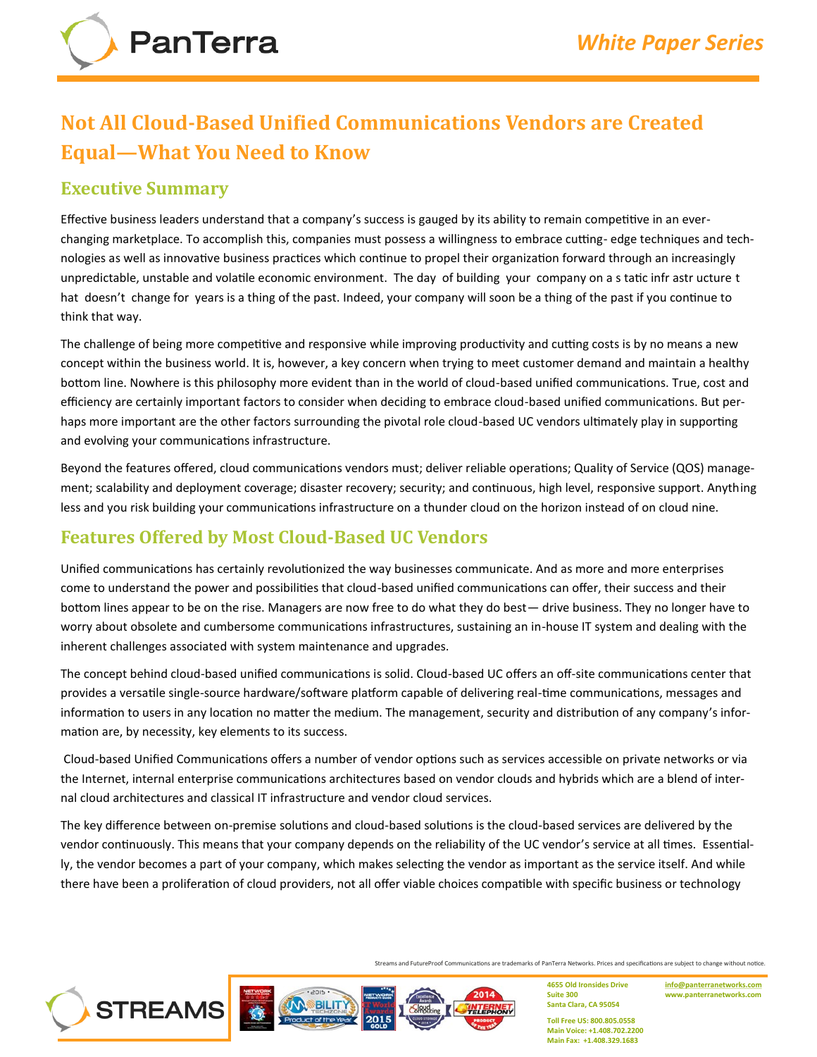# **Not All Cloud-Based Unified Communications Vendors are Created Equal—What You Need to Know**

### **Executive Summary**

**PanTerra** 

Effective business leaders understand that a company's success is gauged by its ability to remain competitive in an everchanging marketplace. To accomplish this, companies must possess a willingness to embrace cutting- edge techniques and technologies as well as innovative business practices which continue to propel their organization forward through an increasingly unpredictable, unstable and volatile economic environment. The day of building your company on a s tatic infr astr ucture t hat doesn't change for years is a thing of the past. Indeed, your company will soon be a thing of the past if you continue to think that way.

The challenge of being more competitive and responsive while improving productivity and cutting costs is by no means a new concept within the business world. It is, however, a key concern when trying to meet customer demand and maintain a healthy bottom line. Nowhere is this philosophy more evident than in the world of cloud-based unified communications. True, cost and efficiency are certainly important factors to consider when deciding to embrace cloud-based unified communications. But perhaps more important are the other factors surrounding the pivotal role cloud-based UC vendors ultimately play in supporting and evolving your communications infrastructure.

Beyond the features offered, cloud communications vendors must; deliver reliable operations; Quality of Service (QOS) management; scalability and deployment coverage; disaster recovery; security; and continuous, high level, responsive support. Anything less and you risk building your communications infrastructure on a thunder cloud on the horizon instead of on cloud nine.

# **Features Offered by Most Cloud-Based UC Vendors**

Unified communications has certainly revolutionized the way businesses communicate. And as more and more enterprises come to understand the power and possibilities that cloud-based unified communications can offer, their success and their bottom lines appear to be on the rise. Managers are now free to do what they do best— drive business. They no longer have to worry about obsolete and cumbersome communications infrastructures, sustaining an in-house IT system and dealing with the inherent challenges associated with system maintenance and upgrades.

The concept behind cloud-based unified communications is solid. Cloud-based UC offers an off-site communications center that provides a versatile single-source hardware/software platform capable of delivering real-time communications, messages and information to users in any location no matter the medium. The management, security and distribution of any company's information are, by necessity, key elements to its success.

Cloud-based Unified Communications offers a number of vendor options such as services accessible on private networks or via the Internet, internal enterprise communications architectures based on vendor clouds and hybrids which are a blend of internal cloud architectures and classical IT infrastructure and vendor cloud services.

The key difference between on-premise solutions and cloud-based solutions is the cloud-based services are delivered by the vendor continuously. This means that your company depends on the reliability of the UC vendor's service at all times. Essentially, the vendor becomes a part of your company, which makes selecting the vendor as important as the service itself. And while there have been a proliferation of cloud providers, not all offer viable choices compatible with specific business or technology

Streams and FutureProof Communications are trademarks of PanTerra Networks. Prices and specifications are subject to change without notice.

2014



**4655 Old Ironsides Drive Suite 300 Santa Clara, CA 95054**

**[info@panterranetworks.com](mailto:info@panterranetworks.com) www.panterranetworks.com**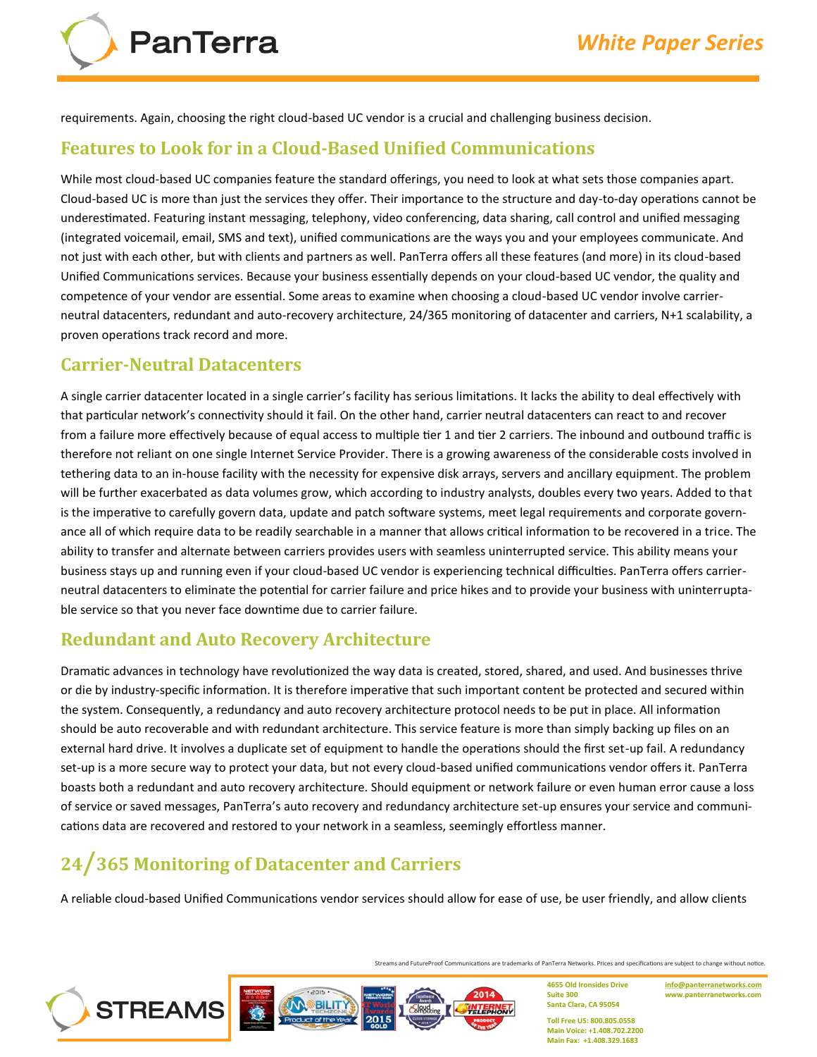requirements. Again, choosing the right cloud-based UC vendor is a crucial and challenging business decision.

#### **Features to Look for in a Cloud-Based Unified Communications**

While most cloud-based UC companies feature the standard offerings, you need to look at what sets those companies apart. Cloud-based UC is more than just the services they offer. Their importance to the structure and day-to-day operations cannot be underestimated. Featuring instant messaging, telephony, video conferencing, data sharing, call control and unified messaging (integrated voicemail, email, SMS and text), unified communications are the ways you and your employees communicate. And not just with each other, but with clients and partners as well. PanTerra offers all these features (and more) in its cloud-based Unified Communications services. Because your business essentially depends on your cloud-based UC vendor, the quality and competence of your vendor are essential. Some areas to examine when choosing a cloud-based UC vendor involve carrierneutral datacenters, redundant and auto-recovery architecture, 24/365 monitoring of datacenter and carriers, N+1 scalability, a proven operations track record and more.

#### **Carrier-Neutral Datacenters**

**PanTerra** 

A single carrier datacenter located in a single carrier's facility has serious limitations. It lacks the ability to deal effectively with that particular network's connectivity should it fail. On the other hand, carrier neutral datacenters can react to and recover from a failure more effectively because of equal access to multiple tier 1 and tier 2 carriers. The inbound and outbound traffic is therefore not reliant on one single Internet Service Provider. There is a growing awareness of the considerable costs involved in tethering data to an in-house facility with the necessity for expensive disk arrays, servers and ancillary equipment. The problem will be further exacerbated as data volumes grow, which according to industry analysts, doubles every two years. Added to that is the imperative to carefully govern data, update and patch software systems, meet legal requirements and corporate governance all of which require data to be readily searchable in a manner that allows critical information to be recovered in a trice. The ability to transfer and alternate between carriers provides users with seamless uninterrupted service. This ability means your business stays up and running even if your cloud-based UC vendor is experiencing technical difficulties. PanTerra offers carrierneutral datacenters to eliminate the potential for carrier failure and price hikes and to provide your business with uninterruptable service so that you never face downtime due to carrier failure.

### **Redundant and Auto Recovery Architecture**

Dramatic advances in technology have revolutionized the way data is created, stored, shared, and used. And businesses thrive or die by industry-specific information. It is therefore imperative that such important content be protected and secured within the system. Consequently, a redundancy and auto recovery architecture protocol needs to be put in place. All information should be auto recoverable and with redundant architecture. This service feature is more than simply backing up files on an external hard drive. It involves a duplicate set of equipment to handle the operations should the first set-up fail. A redundancy set-up is a more secure way to protect your data, but not every cloud-based unified communications vendor offers it. PanTerra boasts both a redundant and auto recovery architecture. Should equipment or network failure or even human error cause a loss of service or saved messages, PanTerra's auto recovery and redundancy architecture set-up ensures your service and communications data are recovered and restored to your network in a seamless, seemingly effortless manner.

# **24/365 Monitoring of Datacenter and Carriers**

**BILIT** 

**STREAMS** 

A reliable cloud-based Unified Communications vendor services should allow for ease of use, be user friendly, and allow clients

Streams and FutureProof Communications are trademarks of PanTerra Networks. Prices and specifications are subject to change without notice.

2014

**4655 Old Ironsides Drive Suite 300 Santa Clara, CA 95054**

**[info@panterranetworks.com](mailto:info@panterranetworks.com) www.panterranetworks.com**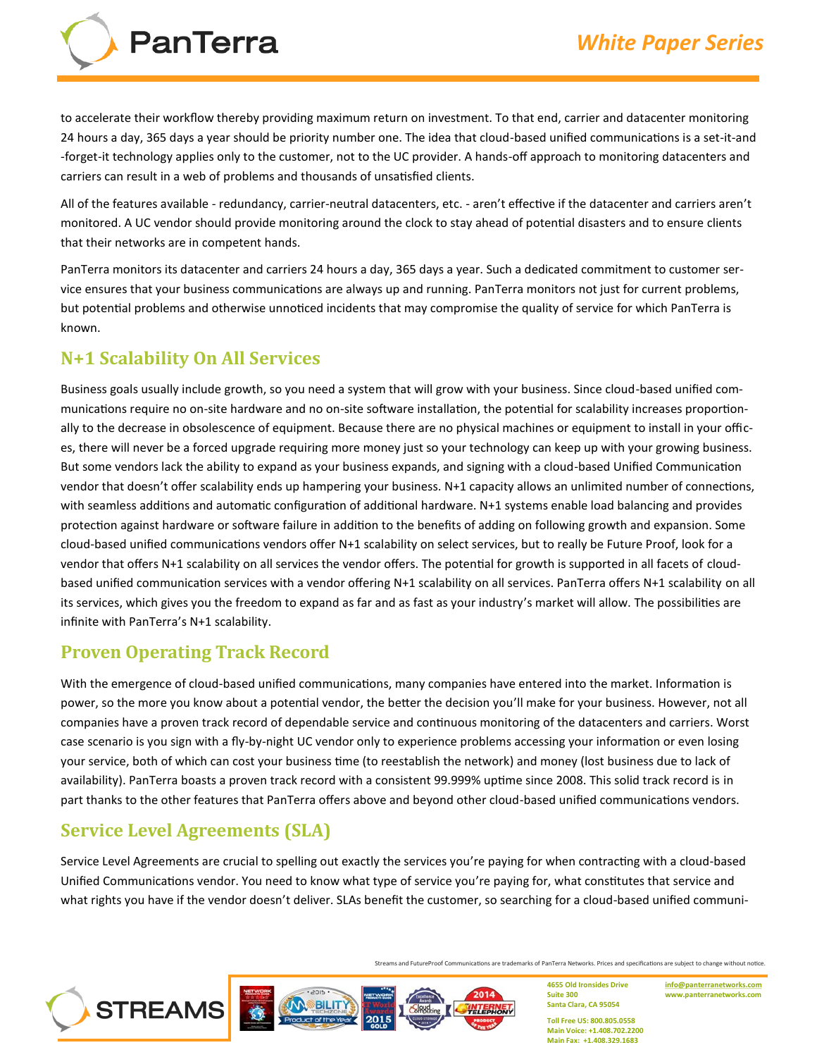**PanTerra** 

to accelerate their workflow thereby providing maximum return on investment. To that end, carrier and datacenter monitoring 24 hours a day, 365 days a year should be priority number one. The idea that cloud-based unified communications is a set-it-and -forget-it technology applies only to the customer, not to the UC provider. A hands-off approach to monitoring datacenters and carriers can result in a web of problems and thousands of unsatisfied clients.

All of the features available - redundancy, carrier-neutral datacenters, etc. - aren't effective if the datacenter and carriers aren't monitored. A UC vendor should provide monitoring around the clock to stay ahead of potential disasters and to ensure clients that their networks are in competent hands.

PanTerra monitors its datacenter and carriers 24 hours a day, 365 days a year. Such a dedicated commitment to customer service ensures that your business communications are always up and running. PanTerra monitors not just for current problems, but potential problems and otherwise unnoticed incidents that may compromise the quality of service for which PanTerra is known.

# **N+1 Scalability On All Services**

Business goals usually include growth, so you need a system that will grow with your business. Since cloud-based unified communications require no on-site hardware and no on-site software installation, the potential for scalability increases proportionally to the decrease in obsolescence of equipment. Because there are no physical machines or equipment to install in your offices, there will never be a forced upgrade requiring more money just so your technology can keep up with your growing business. But some vendors lack the ability to expand as your business expands, and signing with a cloud-based Unified Communication vendor that doesn't offer scalability ends up hampering your business. N+1 capacity allows an unlimited number of connections, with seamless additions and automatic configuration of additional hardware. N+1 systems enable load balancing and provides protection against hardware or software failure in addition to the benefits of adding on following growth and expansion. Some cloud-based unified communications vendors offer N+1 scalability on select services, but to really be Future Proof, look for a vendor that offers N+1 scalability on all services the vendor offers. The potential for growth is supported in all facets of cloudbased unified communication services with a vendor offering N+1 scalability on all services. PanTerra offers N+1 scalability on all its services, which gives you the freedom to expand as far and as fast as your industry's market will allow. The possibilities are infinite with PanTerra's N+1 scalability.

# **Proven Operating Track Record**

With the emergence of cloud-based unified communications, many companies have entered into the market. Information is power, so the more you know about a potential vendor, the better the decision you'll make for your business. However, not all companies have a proven track record of dependable service and continuous monitoring of the datacenters and carriers. Worst case scenario is you sign with a fly-by-night UC vendor only to experience problems accessing your information or even losing your service, both of which can cost your business time (to reestablish the network) and money (lost business due to lack of availability). PanTerra boasts a proven track record with a consistent 99.999% uptime since 2008. This solid track record is in part thanks to the other features that PanTerra offers above and beyond other cloud-based unified communications vendors.

# **Service Level Agreements (SLA)**

Service Level Agreements are crucial to spelling out exactly the services you're paying for when contracting with a cloud-based Unified Communications vendor. You need to know what type of service you're paying for, what constitutes that service and what rights you have if the vendor doesn't deliver. SLAs benefit the customer, so searching for a cloud-based unified communi-

Streams and FutureProof Communications are trademarks of PanTerra Networks. Prices and specifications are subject to change without notice.

2014



**4655 Old Ironsides Drive Suite 300 Santa Clara, CA 95054**

**[info@panterranetworks.com](mailto:info@panterranetworks.com) www.panterranetworks.com**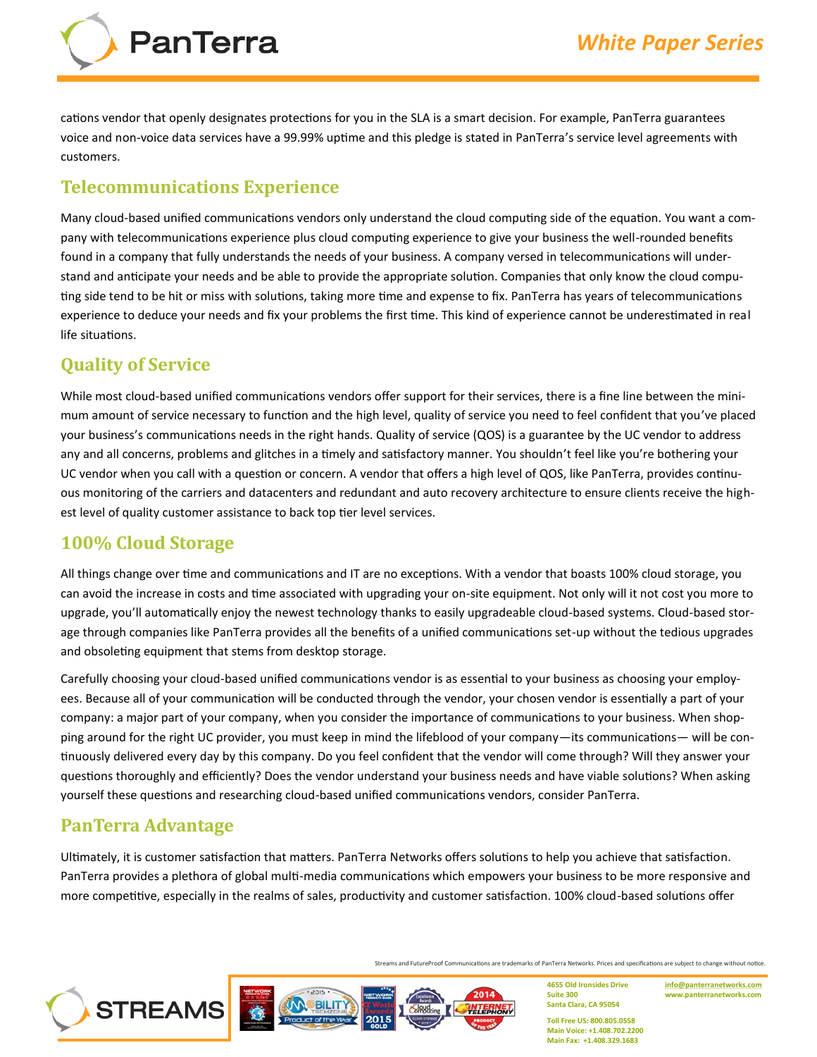cations vendor that openly designates protections for you in the SLA is a smart decision. For example, PanTerra guarantees voice and non-voice data services have a 99.99% uptime and this pledge is stated in PanTerra's service level agreements with customers.

## **Telecommunications Experience**

**PanTerra** 

Many cloud-based unified communications vendors only understand the cloud computing side of the equation. You want a company with telecommunications experience plus cloud computing experience to give your business the well-rounded benefits found in a company that fully understands the needs of your business. A company versed in telecommunications will understand and anticipate your needs and be able to provide the appropriate solution. Companies that only know the cloud computing side tend to be hit or miss with solutions, taking more time and expense to fix. PanTerra has years of telecommunications experience to deduce your needs and fix your problems the first time. This kind of experience cannot be underestimated in real life situations.

# **Quality of Service**

While most cloud-based unified communications vendors offer support for their services, there is a fine line between the minimum amount of service necessary to function and the high level, quality of service you need to feel confident that you've placed your business's communications needs in the right hands. Quality of service (QOS) is a guarantee by the UC vendor to address any and all concerns, problems and glitches in a timely and satisfactory manner. You shouldn't feel like you're bothering your UC vendor when you call with a question or concern. A vendor that offers a high level of QOS, like PanTerra, provides continuous monitoring of the carriers and datacenters and redundant and auto recovery architecture to ensure clients receive the highest level of quality customer assistance to back top tier level services.

# **100% Cloud Storage**

All things change over time and communications and IT are no exceptions. With a vendor that boasts 100% cloud storage, you can avoid the increase in costs and time associated with upgrading your on-site equipment. Not only will it not cost you more to upgrade, you'll automatically enjoy the newest technology thanks to easily upgradeable cloud-based systems. Cloud-based storage through companies like PanTerra provides all the benefits of a unified communications set-up without the tedious upgrades and obsoleting equipment that stems from desktop storage.

Carefully choosing your cloud-based unified communications vendor is as essential to your business as choosing your employees. Because all of your communication will be conducted through the vendor, your chosen vendor is essentially a part of your company: a major part of your company, when you consider the importance of communications to your business. When shopping around for the right UC provider, you must keep in mind the lifeblood of your company—its communications— will be continuously delivered every day by this company. Do you feel confident that the vendor will come through? Will they answer your questions thoroughly and efficiently? Does the vendor understand your business needs and have viable solutions? When asking yourself these questions and researching cloud-based unified communications vendors, consider PanTerra.

### **PanTerra Advantage**

Ultimately, it is customer satisfaction that matters. PanTerra Networks offers solutions to help you achieve that satisfaction. PanTerra provides a plethora of global multi-media communications which empowers your business to be more responsive and more competitive, especially in the realms of sales, productivity and customer satisfaction. 100% cloud-based solutions offer

Streams and FutureProof Communications are trademarks of PanTerra Networks. Prices and specifications are subject to change without notice.

2014



**4655 Old Ironsides Drive Suite 300 Santa Clara, CA 95054**

**[info@panterranetworks.com](mailto:info@panterranetworks.com) www.panterranetworks.com**